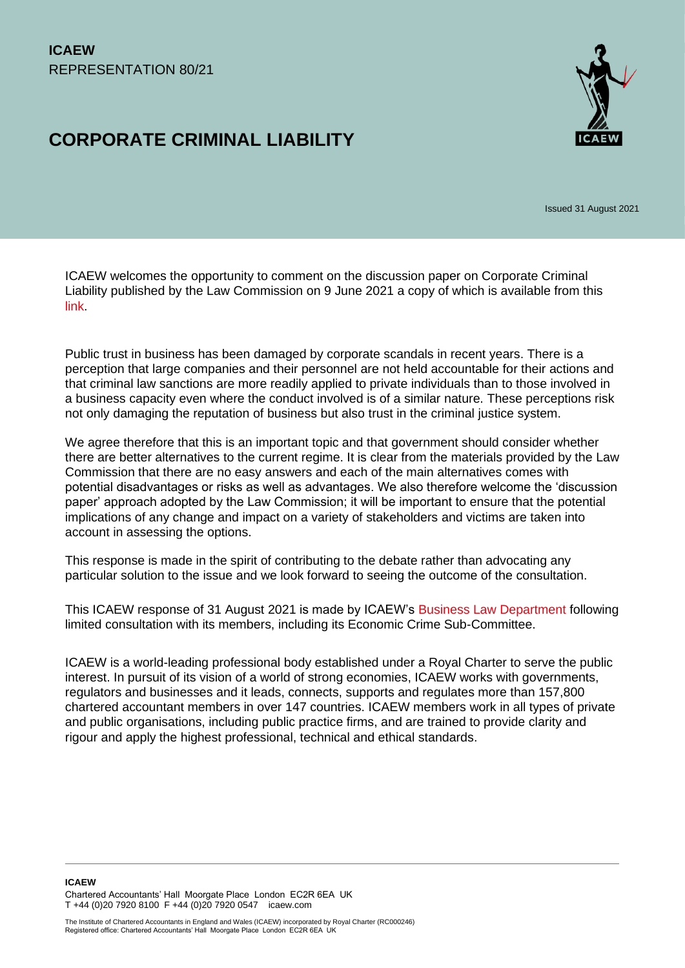# **CORPORATE CRIMINAL LIABILITY**



Issued 31 August 2021

ICAEW welcomes the opportunity to comment on the discussion paper on Corporate Criminal Liability published by the Law Commission on 9 June 2021 a copy of which is available from this [link.](https://www.lawcom.gov.uk/project/corporate-criminal-liability/)

Public trust in business has been damaged by corporate scandals in recent years. There is a perception that large companies and their personnel are not held accountable for their actions and that criminal law sanctions are more readily applied to private individuals than to those involved in a business capacity even where the conduct involved is of a similar nature. These perceptions risk not only damaging the reputation of business but also trust in the criminal justice system.

We agree therefore that this is an important topic and that government should consider whether there are better alternatives to the current regime. It is clear from the materials provided by the Law Commission that there are no easy answers and each of the main alternatives comes with potential disadvantages or risks as well as advantages. We also therefore welcome the 'discussion paper' approach adopted by the Law Commission; it will be important to ensure that the potential implications of any change and impact on a variety of stakeholders and victims are taken into account in assessing the options.

This response is made in the spirit of contributing to the debate rather than advocating any particular solution to the issue and we look forward to seeing the outcome of the consultation.

This ICAEW response of 31 August 2021 is made by ICAEW's [Business Law Department](https://www.icaew.com/technical/legal-and-regulatory/information-law-and-guidance/business-law-department) following limited consultation with its members, including its Economic Crime Sub-Committee.

ICAEW is a world-leading professional body established under a Royal Charter to serve the public interest. In pursuit of its vision of a world of strong economies, ICAEW works with governments, regulators and businesses and it leads, connects, supports and regulates more than 157,800 chartered accountant members in over 147 countries. ICAEW members work in all types of private and public organisations, including public practice firms, and are trained to provide clarity and rigour and apply the highest professional, technical and ethical standards.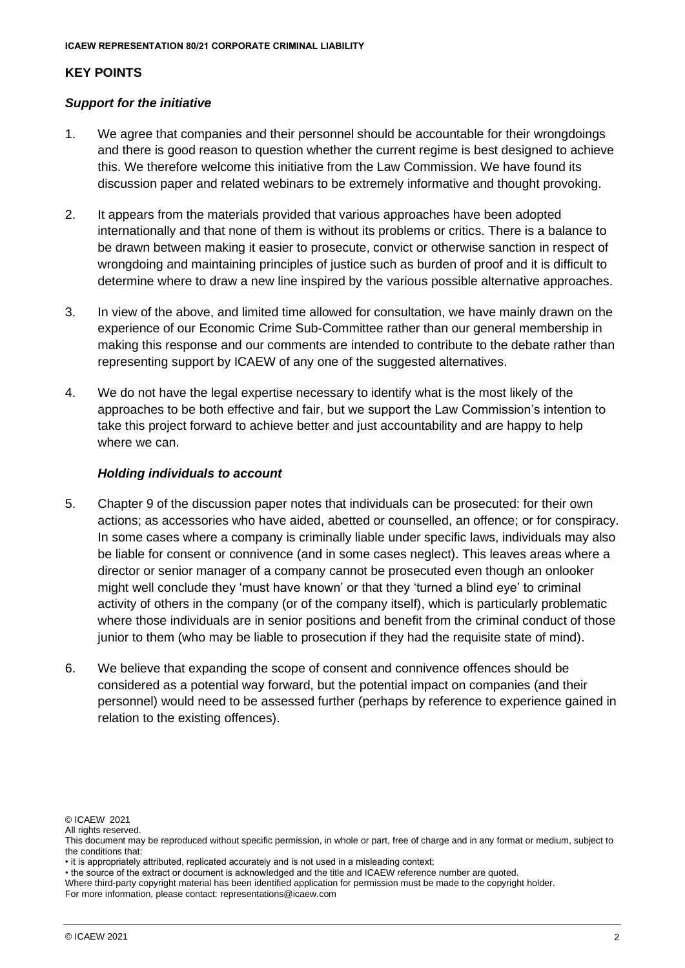## **KEY POINTS**

#### *Support for the initiative*

- 1. We agree that companies and their personnel should be accountable for their wrongdoings and there is good reason to question whether the current regime is best designed to achieve this. We therefore welcome this initiative from the Law Commission. We have found its discussion paper and related webinars to be extremely informative and thought provoking.
- 2. It appears from the materials provided that various approaches have been adopted internationally and that none of them is without its problems or critics. There is a balance to be drawn between making it easier to prosecute, convict or otherwise sanction in respect of wrongdoing and maintaining principles of justice such as burden of proof and it is difficult to determine where to draw a new line inspired by the various possible alternative approaches.
- 3. In view of the above, and limited time allowed for consultation, we have mainly drawn on the experience of our Economic Crime Sub-Committee rather than our general membership in making this response and our comments are intended to contribute to the debate rather than representing support by ICAEW of any one of the suggested alternatives.
- 4. We do not have the legal expertise necessary to identify what is the most likely of the approaches to be both effective and fair, but we support the Law Commission's intention to take this project forward to achieve better and just accountability and are happy to help where we can.

#### *Holding individuals to account*

- 5. Chapter 9 of the discussion paper notes that individuals can be prosecuted: for their own actions; as accessories who have aided, abetted or counselled, an offence; or for conspiracy. In some cases where a company is criminally liable under specific laws, individuals may also be liable for consent or connivence (and in some cases neglect). This leaves areas where a director or senior manager of a company cannot be prosecuted even though an onlooker might well conclude they 'must have known' or that they 'turned a blind eye' to criminal activity of others in the company (or of the company itself), which is particularly problematic where those individuals are in senior positions and benefit from the criminal conduct of those junior to them (who may be liable to prosecution if they had the requisite state of mind).
- 6. We believe that expanding the scope of consent and connivence offences should be considered as a potential way forward, but the potential impact on companies (and their personnel) would need to be assessed further (perhaps by reference to experience gained in relation to the existing offences).

<sup>©</sup> ICAEW 2021

All rights reserved.

This document may be reproduced without specific permission, in whole or part, free of charge and in any format or medium, subject to the conditions that:

<sup>•</sup> it is appropriately attributed, replicated accurately and is not used in a misleading context;

<sup>•</sup> the source of the extract or document is acknowledged and the title and ICAEW reference number are quoted.

Where third-party copyright material has been identified application for permission must be made to the copyright holder.

For more information, please contact: representations@icaew.com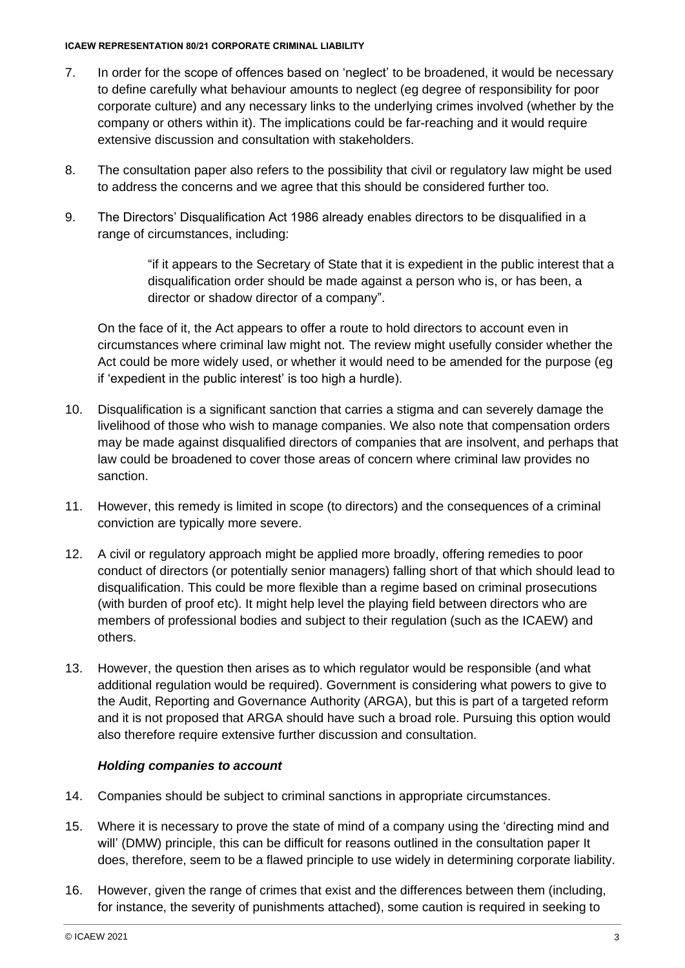#### **ICAEW REPRESENTATION 80/21 CORPORATE CRIMINAL LIABILITY**

- 7. In order for the scope of offences based on 'neglect' to be broadened, it would be necessary to define carefully what behaviour amounts to neglect (eg degree of responsibility for poor corporate culture) and any necessary links to the underlying crimes involved (whether by the company or others within it). The implications could be far-reaching and it would require extensive discussion and consultation with stakeholders.
- 8. The consultation paper also refers to the possibility that civil or regulatory law might be used to address the concerns and we agree that this should be considered further too.
- 9. The Directors' Disqualification Act 1986 already enables directors to be disqualified in a range of circumstances, including:

"if it appears to the Secretary of State that it is expedient in the public interest that a disqualification order should be made against a person who is, or has been, a director or shadow director of a company".

On the face of it, the Act appears to offer a route to hold directors to account even in circumstances where criminal law might not. The review might usefully consider whether the Act could be more widely used, or whether it would need to be amended for the purpose (eg if 'expedient in the public interest' is too high a hurdle).

- 10. Disqualification is a significant sanction that carries a stigma and can severely damage the livelihood of those who wish to manage companies. We also note that compensation orders may be made against disqualified directors of companies that are insolvent, and perhaps that law could be broadened to cover those areas of concern where criminal law provides no sanction.
- 11. However, this remedy is limited in scope (to directors) and the consequences of a criminal conviction are typically more severe.
- 12. A civil or regulatory approach might be applied more broadly, offering remedies to poor conduct of directors (or potentially senior managers) falling short of that which should lead to disqualification. This could be more flexible than a regime based on criminal prosecutions (with burden of proof etc). It might help level the playing field between directors who are members of professional bodies and subject to their regulation (such as the ICAEW) and others.
- 13. However, the question then arises as to which regulator would be responsible (and what additional regulation would be required). Government is considering what powers to give to the Audit, Reporting and Governance Authority (ARGA), but this is part of a targeted reform and it is not proposed that ARGA should have such a broad role. Pursuing this option would also therefore require extensive further discussion and consultation.

#### *Holding companies to account*

- 14. Companies should be subject to criminal sanctions in appropriate circumstances.
- 15. Where it is necessary to prove the state of mind of a company using the 'directing mind and will' (DMW) principle, this can be difficult for reasons outlined in the consultation paper It does, therefore, seem to be a flawed principle to use widely in determining corporate liability.
- 16. However, given the range of crimes that exist and the differences between them (including, for instance, the severity of punishments attached), some caution is required in seeking to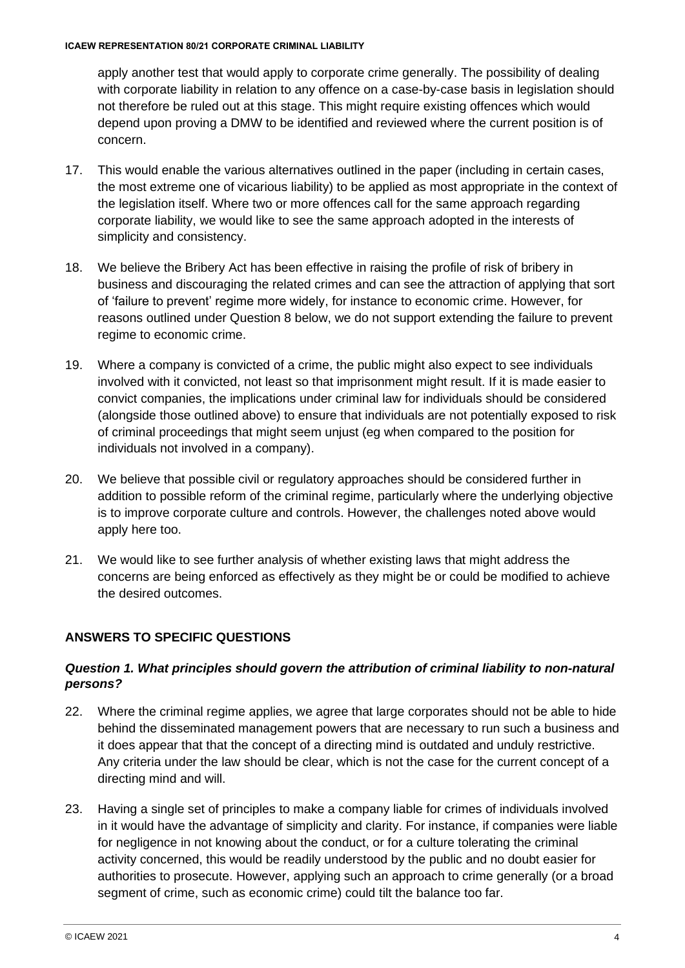apply another test that would apply to corporate crime generally. The possibility of dealing with corporate liability in relation to any offence on a case-by-case basis in legislation should not therefore be ruled out at this stage. This might require existing offences which would depend upon proving a DMW to be identified and reviewed where the current position is of concern.

- 17. This would enable the various alternatives outlined in the paper (including in certain cases, the most extreme one of vicarious liability) to be applied as most appropriate in the context of the legislation itself. Where two or more offences call for the same approach regarding corporate liability, we would like to see the same approach adopted in the interests of simplicity and consistency.
- 18. We believe the Bribery Act has been effective in raising the profile of risk of bribery in business and discouraging the related crimes and can see the attraction of applying that sort of 'failure to prevent' regime more widely, for instance to economic crime. However, for reasons outlined under Question 8 below, we do not support extending the failure to prevent regime to economic crime.
- 19. Where a company is convicted of a crime, the public might also expect to see individuals involved with it convicted, not least so that imprisonment might result. If it is made easier to convict companies, the implications under criminal law for individuals should be considered (alongside those outlined above) to ensure that individuals are not potentially exposed to risk of criminal proceedings that might seem unjust (eg when compared to the position for individuals not involved in a company).
- 20. We believe that possible civil or regulatory approaches should be considered further in addition to possible reform of the criminal regime, particularly where the underlying objective is to improve corporate culture and controls. However, the challenges noted above would apply here too.
- 21. We would like to see further analysis of whether existing laws that might address the concerns are being enforced as effectively as they might be or could be modified to achieve the desired outcomes.

## **ANSWERS TO SPECIFIC QUESTIONS**

### *Question 1. What principles should govern the attribution of criminal liability to non-natural persons?*

- 22. Where the criminal regime applies, we agree that large corporates should not be able to hide behind the disseminated management powers that are necessary to run such a business and it does appear that that the concept of a directing mind is outdated and unduly restrictive. Any criteria under the law should be clear, which is not the case for the current concept of a directing mind and will.
- 23. Having a single set of principles to make a company liable for crimes of individuals involved in it would have the advantage of simplicity and clarity. For instance, if companies were liable for negligence in not knowing about the conduct, or for a culture tolerating the criminal activity concerned, this would be readily understood by the public and no doubt easier for authorities to prosecute. However, applying such an approach to crime generally (or a broad segment of crime, such as economic crime) could tilt the balance too far.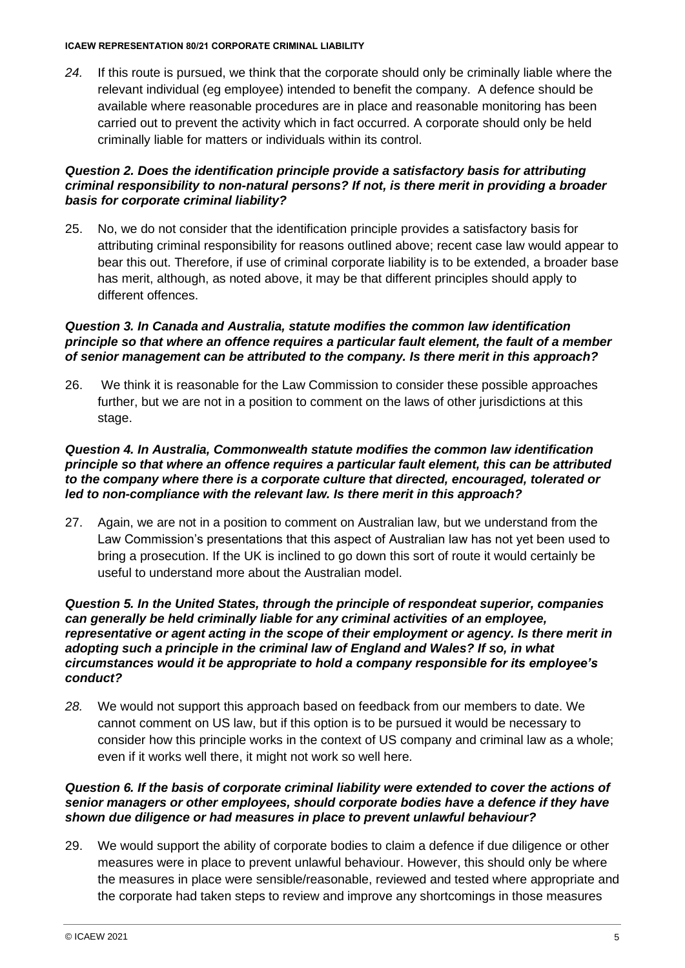#### **ICAEW REPRESENTATION 80/21 CORPORATE CRIMINAL LIABILITY**

*24.* If this route is pursued, we think that the corporate should only be criminally liable where the relevant individual (eg employee) intended to benefit the company. A defence should be available where reasonable procedures are in place and reasonable monitoring has been carried out to prevent the activity which in fact occurred. A corporate should only be held criminally liable for matters or individuals within its control.

### *Question 2. Does the identification principle provide a satisfactory basis for attributing criminal responsibility to non-natural persons? If not, is there merit in providing a broader basis for corporate criminal liability?*

25. No, we do not consider that the identification principle provides a satisfactory basis for attributing criminal responsibility for reasons outlined above; recent case law would appear to bear this out. Therefore, if use of criminal corporate liability is to be extended, a broader base has merit, although, as noted above, it may be that different principles should apply to different offences.

#### *Question 3. In Canada and Australia, statute modifies the common law identification principle so that where an offence requires a particular fault element, the fault of a member of senior management can be attributed to the company. Is there merit in this approach?*

26. We think it is reasonable for the Law Commission to consider these possible approaches further, but we are not in a position to comment on the laws of other jurisdictions at this stage.

#### *Question 4. In Australia, Commonwealth statute modifies the common law identification principle so that where an offence requires a particular fault element, this can be attributed to the company where there is a corporate culture that directed, encouraged, tolerated or led to non-compliance with the relevant law. Is there merit in this approach?*

27. Again, we are not in a position to comment on Australian law, but we understand from the Law Commission's presentations that this aspect of Australian law has not yet been used to bring a prosecution. If the UK is inclined to go down this sort of route it would certainly be useful to understand more about the Australian model.

#### *Question 5. In the United States, through the principle of respondeat superior, companies can generally be held criminally liable for any criminal activities of an employee, representative or agent acting in the scope of their employment or agency. Is there merit in adopting such a principle in the criminal law of England and Wales? If so, in what circumstances would it be appropriate to hold a company responsible for its employee's conduct?*

*28.* We would not support this approach based on feedback from our members to date. We cannot comment on US law, but if this option is to be pursued it would be necessary to consider how this principle works in the context of US company and criminal law as a whole; even if it works well there, it might not work so well here*.* 

## *Question 6. If the basis of corporate criminal liability were extended to cover the actions of senior managers or other employees, should corporate bodies have a defence if they have shown due diligence or had measures in place to prevent unlawful behaviour?*

29. We would support the ability of corporate bodies to claim a defence if due diligence or other measures were in place to prevent unlawful behaviour. However, this should only be where the measures in place were sensible/reasonable, reviewed and tested where appropriate and the corporate had taken steps to review and improve any shortcomings in those measures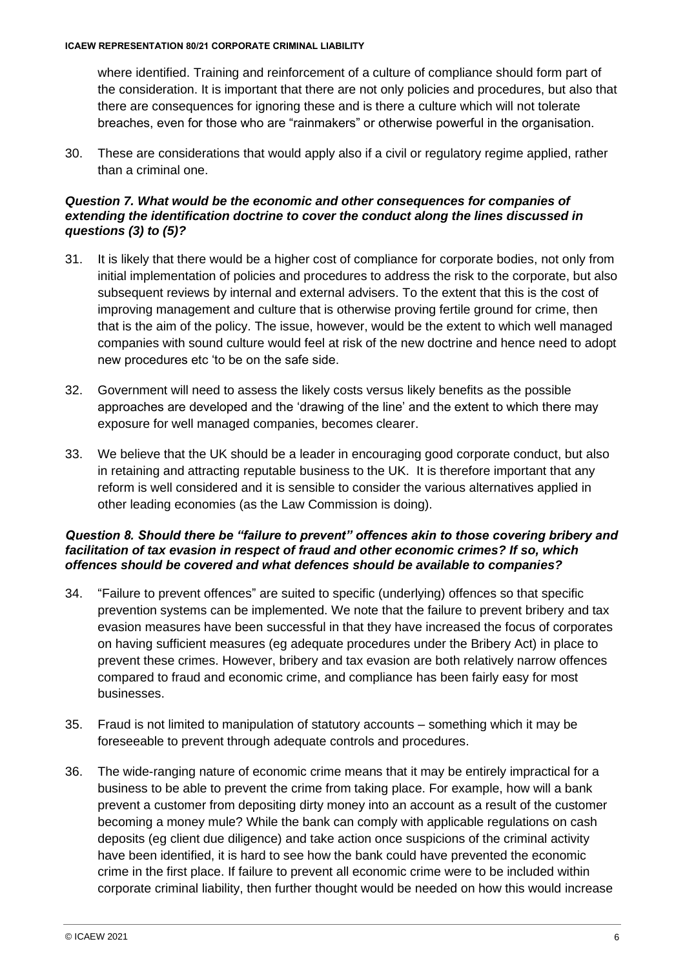where identified. Training and reinforcement of a culture of compliance should form part of the consideration. It is important that there are not only policies and procedures, but also that there are consequences for ignoring these and is there a culture which will not tolerate breaches, even for those who are "rainmakers" or otherwise powerful in the organisation.

30. These are considerations that would apply also if a civil or regulatory regime applied, rather than a criminal one.

## *Question 7. What would be the economic and other consequences for companies of extending the identification doctrine to cover the conduct along the lines discussed in questions (3) to (5)?*

- 31. It is likely that there would be a higher cost of compliance for corporate bodies, not only from initial implementation of policies and procedures to address the risk to the corporate, but also subsequent reviews by internal and external advisers. To the extent that this is the cost of improving management and culture that is otherwise proving fertile ground for crime, then that is the aim of the policy. The issue, however, would be the extent to which well managed companies with sound culture would feel at risk of the new doctrine and hence need to adopt new procedures etc 'to be on the safe side.
- 32. Government will need to assess the likely costs versus likely benefits as the possible approaches are developed and the 'drawing of the line' and the extent to which there may exposure for well managed companies, becomes clearer.
- 33. We believe that the UK should be a leader in encouraging good corporate conduct, but also in retaining and attracting reputable business to the UK. It is therefore important that any reform is well considered and it is sensible to consider the various alternatives applied in other leading economies (as the Law Commission is doing).

#### *Question 8. Should there be "failure to prevent" offences akin to those covering bribery and facilitation of tax evasion in respect of fraud and other economic crimes? If so, which offences should be covered and what defences should be available to companies?*

- 34. "Failure to prevent offences" are suited to specific (underlying) offences so that specific prevention systems can be implemented. We note that the failure to prevent bribery and tax evasion measures have been successful in that they have increased the focus of corporates on having sufficient measures (eg adequate procedures under the Bribery Act) in place to prevent these crimes. However, bribery and tax evasion are both relatively narrow offences compared to fraud and economic crime, and compliance has been fairly easy for most businesses.
- 35. Fraud is not limited to manipulation of statutory accounts something which it may be foreseeable to prevent through adequate controls and procedures.
- 36. The wide-ranging nature of economic crime means that it may be entirely impractical for a business to be able to prevent the crime from taking place. For example, how will a bank prevent a customer from depositing dirty money into an account as a result of the customer becoming a money mule? While the bank can comply with applicable regulations on cash deposits (eg client due diligence) and take action once suspicions of the criminal activity have been identified, it is hard to see how the bank could have prevented the economic crime in the first place. If failure to prevent all economic crime were to be included within corporate criminal liability, then further thought would be needed on how this would increase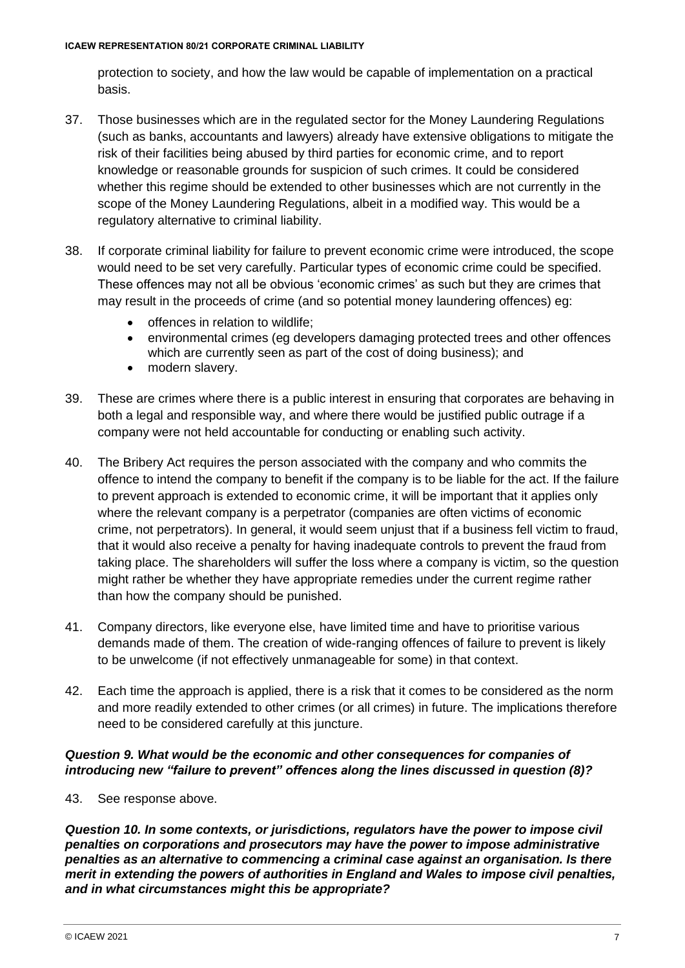protection to society, and how the law would be capable of implementation on a practical basis.

- 37. Those businesses which are in the regulated sector for the Money Laundering Regulations (such as banks, accountants and lawyers) already have extensive obligations to mitigate the risk of their facilities being abused by third parties for economic crime, and to report knowledge or reasonable grounds for suspicion of such crimes. It could be considered whether this regime should be extended to other businesses which are not currently in the scope of the Money Laundering Regulations, albeit in a modified way. This would be a regulatory alternative to criminal liability.
- 38. If corporate criminal liability for failure to prevent economic crime were introduced, the scope would need to be set very carefully. Particular types of economic crime could be specified. These offences may not all be obvious 'economic crimes' as such but they are crimes that may result in the proceeds of crime (and so potential money laundering offences) eg:
	- offences in relation to wildlife:
	- environmental crimes (eg developers damaging protected trees and other offences which are currently seen as part of the cost of doing business); and
	- modern slavery.
- 39. These are crimes where there is a public interest in ensuring that corporates are behaving in both a legal and responsible way, and where there would be justified public outrage if a company were not held accountable for conducting or enabling such activity.
- 40. The Bribery Act requires the person associated with the company and who commits the offence to intend the company to benefit if the company is to be liable for the act. If the failure to prevent approach is extended to economic crime, it will be important that it applies only where the relevant company is a perpetrator (companies are often victims of economic crime, not perpetrators). In general, it would seem unjust that if a business fell victim to fraud, that it would also receive a penalty for having inadequate controls to prevent the fraud from taking place. The shareholders will suffer the loss where a company is victim, so the question might rather be whether they have appropriate remedies under the current regime rather than how the company should be punished.
- 41. Company directors, like everyone else, have limited time and have to prioritise various demands made of them. The creation of wide-ranging offences of failure to prevent is likely to be unwelcome (if not effectively unmanageable for some) in that context.
- 42. Each time the approach is applied, there is a risk that it comes to be considered as the norm and more readily extended to other crimes (or all crimes) in future. The implications therefore need to be considered carefully at this juncture.

### *Question 9. What would be the economic and other consequences for companies of introducing new "failure to prevent" offences along the lines discussed in question (8)?*

43. See response above.

*Question 10. In some contexts, or jurisdictions, regulators have the power to impose civil penalties on corporations and prosecutors may have the power to impose administrative penalties as an alternative to commencing a criminal case against an organisation. Is there merit in extending the powers of authorities in England and Wales to impose civil penalties, and in what circumstances might this be appropriate?*